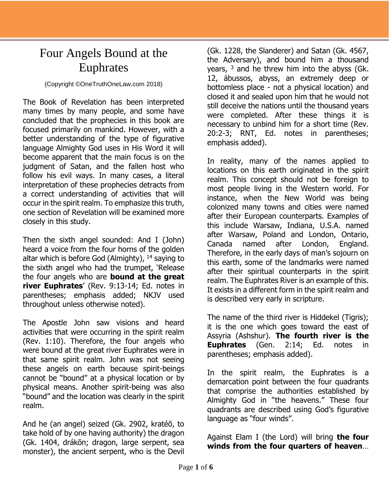## Four Angels Bound at the Euphrates

## (Copyright ©OneTruthOneLaw.com 2018)

The Book of Revelation has been interpreted many times by many people, and some have concluded that the prophecies in this book are focused primarily on mankind. However, with a better understanding of the type of figurative language Almighty God uses in His Word it will become apparent that the main focus is on the judgment of Satan, and the fallen host who follow his evil ways. In many cases, a literal interpretation of these prophecies detracts from a correct understanding of activities that will occur in the spirit realm. To emphasize this truth, one section of Revelation will be examined more closely in this study.

Then the sixth angel sounded: And I (John) heard a voice from the four horns of the golden altar which is before God (Almighty),  $14$  saying to the sixth angel who had the trumpet, 'Release the four angels who are **bound at the great river Euphrates**' (Rev. 9:13-14; Ed. notes in parentheses; emphasis added; NKJV used throughout unless otherwise noted).

The Apostle John saw visions and heard activities that were occurring in the spirit realm (Rev. 1:10). Therefore, the four angels who were bound at the great river Euphrates were in that same spirit realm. John was not seeing these angels on earth because spirit-beings cannot be "bound" at a physical location or by physical means. Another spirit-being was also "bound" and the location was clearly in the spirit realm.

And he (an angel) seized (Gk. 2902, kratéō, to take hold of by one having authority) the dragon (Gk. 1404, drákōn; dragon, large serpent, sea monster), the ancient serpent, who is the Devil

(Gk. 1228, the Slanderer) and Satan (Gk. 4567, the Adversary), and bound him a thousand years,  $3$  and he threw him into the abyss (Gk. 12, ábussos, abyss, an extremely deep or bottomless place - not a physical location) and closed it and sealed upon him that he would not still deceive the nations until the thousand years were completed. After these things it is necessary to unbind him for a short time (Rev. 20:2-3; RNT, Ed. notes in parentheses; emphasis added).

In reality, many of the names applied to locations on this earth originated in the spirit realm. This concept should not be foreign to most people living in the Western world. For instance, when the New World was being colonized many towns and cities were named after their European counterparts. Examples of this include Warsaw, Indiana, U.S.A. named after Warsaw, Poland and London, Ontario, Canada named after London, England. Therefore, in the early days of man's sojourn on this earth, some of the landmarks were named after their spiritual counterparts in the spirit realm. The Euphrates River is an example of this. It exists in a different form in the spirit realm and is described very early in scripture.

The name of the third river is Hiddekel (Tigris); it is the one which goes toward the east of Assyria (Ashshur). **The fourth river is the Euphrates** (Gen. 2:14; Ed. notes in parentheses; emphasis added).

In the spirit realm, the Euphrates is a demarcation point between the four quadrants that comprise the authorities established by Almighty God in "the heavens." These four quadrants are described using God's figurative language as "four winds".

Against Elam I (the Lord) will bring **the four winds from the four quarters of heaven**…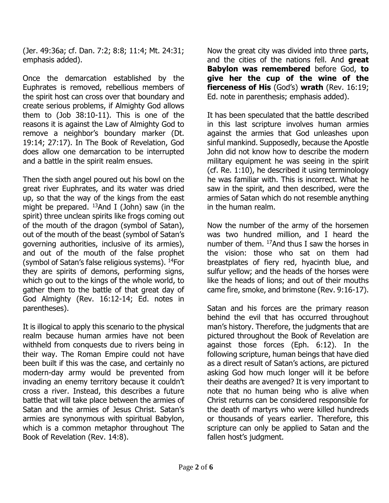(Jer. 49:36a; cf. Dan. 7:2; 8:8; 11:4; Mt. 24:31; emphasis added).

Once the demarcation established by the Euphrates is removed, rebellious members of the spirit host can cross over that boundary and create serious problems, if Almighty God allows them to (Job 38:10-11). This is one of the reasons it is against the Law of Almighty God to remove a neighbor's boundary marker (Dt. 19:14; 27:17). In The Book of Revelation, God does allow one demarcation to be interrupted and a battle in the spirit realm ensues.

Then the sixth angel poured out his bowl on the great river Euphrates, and its water was dried up, so that the way of the kings from the east might be prepared.  $^{13}$ And I (John) saw (in the spirit) three unclean spirits like frogs coming out of the mouth of the dragon (symbol of Satan), out of the mouth of the beast (symbol of Satan's governing authorities, inclusive of its armies), and out of the mouth of the false prophet (symbol of Satan's false religious systems). <sup>14</sup>For they are spirits of demons, performing signs, which go out to the kings of the whole world, to gather them to the battle of that great day of God Almighty (Rev. 16:12-14; Ed. notes in parentheses).

It is illogical to apply this scenario to the physical realm because human armies have not been withheld from conquests due to rivers being in their way. The Roman Empire could not have been built if this was the case, and certainly no modern-day army would be prevented from invading an enemy territory because it couldn't cross a river. Instead, this describes a future battle that will take place between the armies of Satan and the armies of Jesus Christ. Satan's armies are synonymous with spiritual Babylon, which is a common metaphor throughout The Book of Revelation (Rev. 14:8).

Now the great city was divided into three parts, and the cities of the nations fell. And **great Babylon was remembered** before God, **to give her the cup of the wine of the fierceness of His** (God's) **wrath** (Rev. 16:19; Ed. note in parenthesis; emphasis added).

It has been speculated that the battle described in this last scripture involves human armies against the armies that God unleashes upon sinful mankind. Supposedly, because the Apostle John did not know how to describe the modern military equipment he was seeing in the spirit (cf. Re. 1:10), he described it using terminology he was familiar with. This is incorrect. What he saw in the spirit, and then described, were the armies of Satan which do not resemble anything in the human realm.

Now the number of the army of the horsemen was two hundred million, and I heard the number of them.  $17$ And thus I saw the horses in the vision: those who sat on them had breastplates of fiery red, hyacinth blue, and sulfur yellow; and the heads of the horses were like the heads of lions; and out of their mouths came fire, smoke, and brimstone (Rev. 9:16-17).

Satan and his forces are the primary reason behind the evil that has occurred throughout man's history. Therefore, the judgments that are pictured throughout the Book of Revelation are against those forces (Eph. 6:12). In the following scripture, human beings that have died as a direct result of Satan's actions, are pictured asking God how much longer will it be before their deaths are avenged? It is very important to note that no human being who is alive when Christ returns can be considered responsible for the death of martyrs who were killed hundreds or thousands of years earlier. Therefore, this scripture can only be applied to Satan and the fallen host's judgment.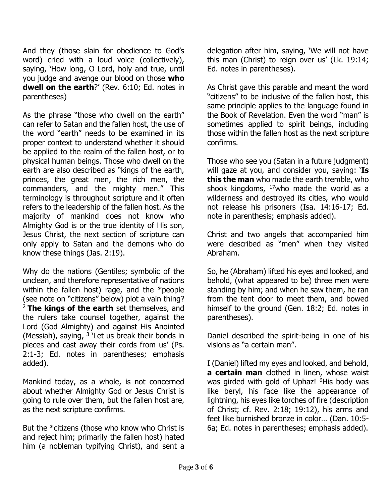And they (those slain for obedience to God's word) cried with a loud voice (collectively), saying, 'How long, O Lord, holy and true, until you judge and avenge our blood on those **who dwell on the earth**?' (Rev. 6:10; Ed. notes in parentheses)

As the phrase "those who dwell on the earth" can refer to Satan and the fallen host, the use of the word "earth" needs to be examined in its proper context to understand whether it should be applied to the realm of the fallen host, or to physical human beings. Those who dwell on the earth are also described as "kings of the earth, princes, the great men, the rich men, the commanders, and the mighty men." This terminology is throughout scripture and it often refers to the leadership of the fallen host. As the majority of mankind does not know who Almighty God is or the true identity of His son, Jesus Christ, the next section of scripture can only apply to Satan and the demons who do know these things (Jas. 2:19).

Why do the nations (Gentiles; symbolic of the unclean, and therefore representative of nations within the fallen host) rage, and the \*people (see note on "citizens" below) plot a vain thing? <sup>2</sup> **The kings of the earth** set themselves, and the rulers take counsel together, against the Lord (God Almighty) and against His Anointed (Messiah), saying,  $3$  'Let us break their bonds in pieces and cast away their cords from us' (Ps. 2:1-3; Ed. notes in parentheses; emphasis added).

Mankind today, as a whole, is not concerned about whether Almighty God or Jesus Christ is going to rule over them, but the fallen host are, as the next scripture confirms.

But the \*citizens (those who know who Christ is and reject him; primarily the fallen host) hated him (a nobleman typifying Christ), and sent a delegation after him, saying, 'We will not have this man (Christ) to reign over us' (Lk. 19:14; Ed. notes in parentheses).

As Christ gave this parable and meant the word "citizens" to be inclusive of the fallen host, this same principle applies to the language found in the Book of Revelation. Even the word "man" is sometimes applied to spirit beings, including those within the fallen host as the next scripture confirms.

Those who see you (Satan in a future judgment) will gaze at you, and consider you, saying: '**Is this the man** who made the earth tremble, who shook kingdoms,  $17$ who made the world as a wilderness and destroyed its cities, who would not release his prisoners (Isa. 14:16-17; Ed. note in parenthesis; emphasis added).

Christ and two angels that accompanied him were described as "men" when they visited Abraham.

So, he (Abraham) lifted his eyes and looked, and behold, (what appeared to be) three men were standing by him; and when he saw them, he ran from the tent door to meet them, and bowed himself to the ground (Gen. 18:2; Ed. notes in parentheses).

Daniel described the spirit-being in one of his visions as "a certain man".

I (Daniel) lifted my eyes and looked, and behold, **a certain man** clothed in linen, whose waist was girded with gold of Uphaz! <sup>6</sup>His body was like beryl, his face like the appearance of lightning, his eyes like torches of fire (description of Christ; cf. Rev. 2:18; 19:12), his arms and feet like burnished bronze in color… (Dan. 10:5- 6a; Ed. notes in parentheses; emphasis added).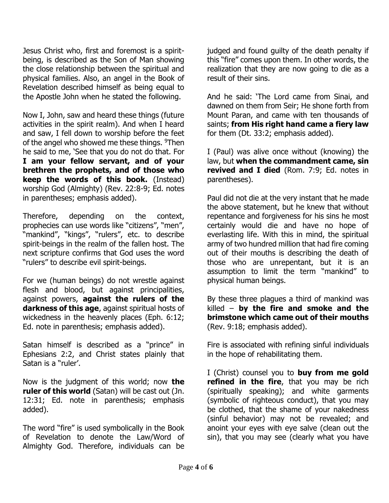Jesus Christ who, first and foremost is a spiritbeing, is described as the Son of Man showing the close relationship between the spiritual and physical families. Also, an angel in the Book of Revelation described himself as being equal to the Apostle John when he stated the following.

Now I, John, saw and heard these things (future activities in the spirit realm). And when I heard and saw, I fell down to worship before the feet of the angel who showed me these things. <sup>9</sup>Then he said to me, 'See that you do not do that. For **I am your fellow servant, and of your brethren the prophets, and of those who keep the words of this book.** (Instead) worship God (Almighty) (Rev. 22:8-9; Ed. notes in parentheses; emphasis added).

Therefore, depending on the context, prophecies can use words like "citizens", "men", "mankind", "kings", "rulers", etc. to describe spirit-beings in the realm of the fallen host. The next scripture confirms that God uses the word "rulers" to describe evil spirit-beings.

For we (human beings) do not wrestle against flesh and blood, but against principalities, against powers, **against the rulers of the darkness of this age**, against spiritual hosts of wickedness in the heavenly places (Eph. 6:12; Ed. note in parenthesis; emphasis added).

Satan himself is described as a "prince" in Ephesians 2:2, and Christ states plainly that Satan is a "ruler'.

Now is the judgment of this world; now **the ruler of this world** (Satan) will be cast out (Jn. 12:31; Ed. note in parenthesis; emphasis added).

The word "fire" is used symbolically in the Book of Revelation to denote the Law/Word of Almighty God. Therefore, individuals can be judged and found guilty of the death penalty if this "fire" comes upon them. In other words, the realization that they are now going to die as a result of their sins.

And he said: 'The Lord came from Sinai, and dawned on them from Seir; He shone forth from Mount Paran, and came with ten thousands of saints; **from His right hand came a fiery law** for them (Dt. 33:2; emphasis added).

I (Paul) was alive once without (knowing) the law, but **when the commandment came, sin revived and I died** (Rom. 7:9; Ed. notes in parentheses).

Paul did not die at the very instant that he made the above statement, but he knew that without repentance and forgiveness for his sins he most certainly would die and have no hope of everlasting life. With this in mind, the spiritual army of two hundred million that had fire coming out of their mouths is describing the death of those who are unrepentant, but it is an assumption to limit the term "mankind" to physical human beings.

By these three plagues a third of mankind was killed – **by the fire and smoke and the brimstone which came out of their mouths** (Rev. 9:18; emphasis added).

Fire is associated with refining sinful individuals in the hope of rehabilitating them.

I (Christ) counsel you to **buy from me gold refined in the fire**, that you may be rich (spiritually speaking); and white garments (symbolic of righteous conduct), that you may be clothed, that the shame of your nakedness (sinful behavior) may not be revealed; and anoint your eyes with eye salve (clean out the sin), that you may see (clearly what you have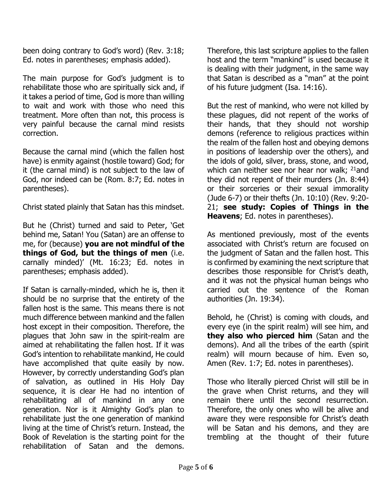been doing contrary to God's word) (Rev. 3:18; Ed. notes in parentheses; emphasis added).

The main purpose for God's judgment is to rehabilitate those who are spiritually sick and, if it takes a period of time, God is more than willing to wait and work with those who need this treatment. More often than not, this process is very painful because the carnal mind resists correction.

Because the carnal mind (which the fallen host have) is enmity against (hostile toward) God; for it (the carnal mind) is not subject to the law of God, nor indeed can be (Rom. 8:7; Ed. notes in parentheses).

Christ stated plainly that Satan has this mindset.

But he (Christ) turned and said to Peter, 'Get behind me, Satan! You (Satan) are an offense to me, for (because) **you are not mindful of the things of God, but the things of men** (i.e. carnally minded)' (Mt. 16:23; Ed. notes in parentheses; emphasis added).

If Satan is carnally-minded, which he is, then it should be no surprise that the entirety of the fallen host is the same. This means there is not much difference between mankind and the fallen host except in their composition. Therefore, the plagues that John saw in the spirit-realm are aimed at rehabilitating the fallen host. If it was God's intention to rehabilitate mankind, He could have accomplished that quite easily by now. However, by correctly understanding God's plan of salvation, as outlined in His Holy Day sequence, it is clear He had no intention of rehabilitating all of mankind in any one generation. Nor is it Almighty God's plan to rehabilitate just the one generation of mankind living at the time of Christ's return. Instead, the Book of Revelation is the starting point for the rehabilitation of Satan and the demons.

Therefore, this last scripture applies to the fallen host and the term "mankind" is used because it is dealing with their judgment, in the same way that Satan is described as a "man" at the point of his future judgment (Isa. 14:16).

But the rest of mankind, who were not killed by these plagues, did not repent of the works of their hands, that they should not worship demons (reference to religious practices within the realm of the fallen host and obeying demons in positions of leadership over the others), and the idols of gold, silver, brass, stone, and wood, which can neither see nor hear nor walk;  $21$  and they did not repent of their murders (Jn. 8:44) or their sorceries or their sexual immorality (Jude 6-7) or their thefts (Jn. 10:10) (Rev. 9:20- 21; **see study: Copies of Things in the Heavens**; Ed. notes in parentheses).

As mentioned previously, most of the events associated with Christ's return are focused on the judgment of Satan and the fallen host. This is confirmed by examining the next scripture that describes those responsible for Christ's death, and it was not the physical human beings who carried out the sentence of the Roman authorities (Jn. 19:34).

Behold, he (Christ) is coming with clouds, and every eye (in the spirit realm) will see him, and **they also who pierced him** (Satan and the demons). And all the tribes of the earth (spirit realm) will mourn because of him. Even so, Amen (Rev. 1:7; Ed. notes in parentheses).

Those who literally pierced Christ will still be in the grave when Christ returns, and they will remain there until the second resurrection. Therefore, the only ones who will be alive and aware they were responsible for Christ's death will be Satan and his demons, and they are trembling at the thought of their future